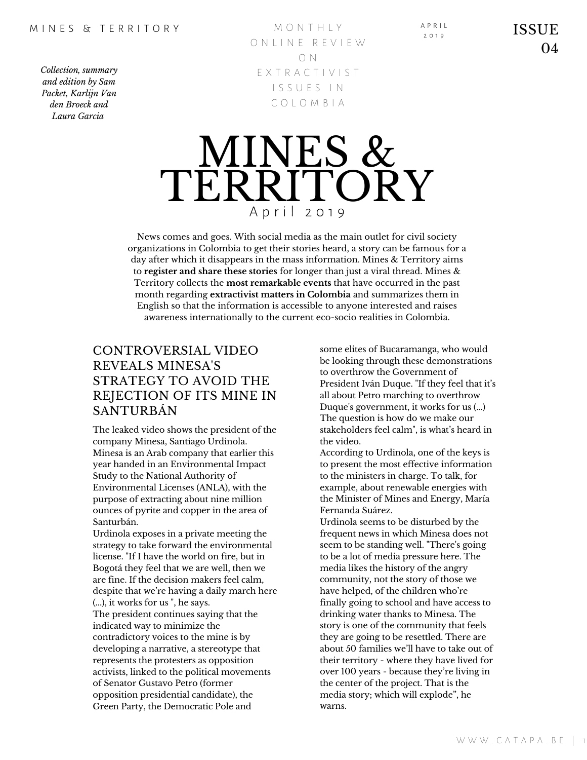M O N T H L Y O N L I N E R E V I E W O N E X T R A C T I V I S T I S S U E S I N C O L O M B I A

MINES & TERRITORY

News comes and goes. With social media as the main outlet for civil society organizations in Colombia to get their stories heard, a story can be famous for a day after which it disappears in the mass information. Mines & Territory aims to **register and share these stories** for longer than just a viral thread. Mines & Territory collects the **most remarkable events** that have occurred in the past month regarding **extractivist matters in Colombia** and summarizes them in English so that the information is accessible to anyone interested and raises awareness internationally to the current eco-socio realities in Colombia.

A p r i | 2 0 1 9

## CONTROVERSIAL VIDEO REVEALS MINESA'S STRATEGY TO AVOID THE REJECTION OF ITS MINE IN SANTURBÁN

The leaked video shows the president of the company Minesa, Santiago Urdinola. Minesa is an Arab company that earlier this year handed in an Environmental Impact Study to the National Authority of Environmental Licenses (ANLA), with the purpose of extracting about nine million ounces of pyrite and copper in the area of Santurbán.

Urdinola exposes in a private meeting the strategy to take forward the environmental license. "If I have the world on fire, but in Bogotá they feel that we are well, then we are fine. If the decision makers feel calm, despite that we're having a daily march here (...), it works for us ", he says.

The president continues saying that the indicated way to minimize the contradictory voices to the mine is by developing a narrative, a stereotype that represents the protesters as opposition activists, linked to the political movements of Senator Gustavo Petro (former opposition presidential candidate), the Green Party, the Democratic Pole and

some elites of Bucaramanga, who would be looking through these demonstrations to overthrow the Government of President Iván Duque. "If they feel that it's all about Petro marching to overthrow Duque's government, it works for us (...) The question is how do we make our stakeholders feel calm", is what's heard in the video.

A P R I L

According to Urdinola, one of the keys is to present the most effective information to the ministers in charge. To talk, for example, about renewable energies with the Minister of Mines and Energy, María Fernanda Suárez.

Urdinola seems to be disturbed by the frequent news in which Minesa does not seem to be standing well. "There's going to be a lot of media pressure here. The media likes the history of the angry community, not the story of those we have helped, of the children who're finally going to school and have access to drinking water thanks to Minesa. The story is one of the community that feels they are going to be resettled. There are about 50 families we'll have to take out of their territory - where they have lived for over 100 years - because they're living in the center of the project. That is the media story; which will explode", he warns.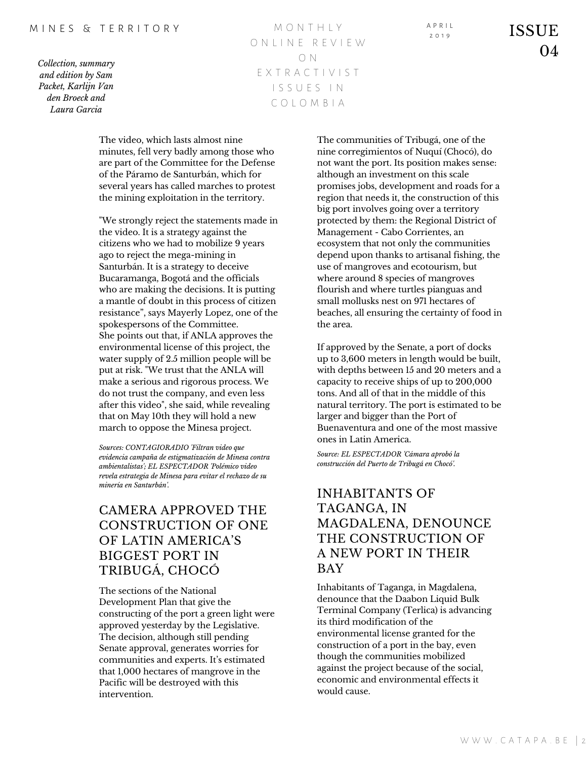*Collection, summary and edition by Sam Packet, Karlijn Van den Broeck and Laura Garcia*

M O N T H L Y O N L I N E R E V I E W O N E X T R A C T I V I S T I S S U E S I N C O L O M B I A

The video, which lasts almost nine minutes, fell very badly among those who are part of the Committee for the Defense of the Páramo de Santurbán, which for several years has called marches to protest the mining exploitation in the territory.

"We strongly reject the statements made in the video. It is a strategy against the citizens who we had to mobilize 9 years ago to reject the mega-mining in Santurbán. It is a strategy to deceive Bucaramanga, Bogotá and the officials who are making the decisions. It is putting a mantle of doubt in this process of citizen resistance", says Mayerly Lopez, one of the spokespersons of the Committee. She points out that, if ANLA approves the environmental license of this project, the water supply of 2.5 million people will be put at risk. "We trust that the ANLA will make a serious and rigorous process. We do not trust the company, and even less after this video", she said, while revealing that on May 10th they will hold a new march to oppose the Minesa project.

*Sources: CONTAGIORADIO 'Filtran video que evidencia campaña de estigmatización de Minesa contra ambientalistas'; EL ESPECTADOR 'Polémico video revela estrategia de Minesa para evitar el rechazo de su minería en Santurbán'.*

## CAMERA APPROVED THE CONSTRUCTION OF ONE OF LATIN AMERICA'S BIGGEST PORT IN TRIBUGÁ, CHOCÓ

The sections of the National Development Plan that give the constructing of the port a green light were approved yesterday by the Legislative. The decision, although still pending Senate approval, generates worries for communities and experts. It's estimated that 1,000 hectares of mangrove in the Pacific will be destroyed with this intervention.

The communities of Tribugá, one of the nine corregimientos of Nuquí (Chocó), do not want the port. Its position makes sense: although an investment on this scale promises jobs, development and roads for a region that needs it, the construction of this big port involves going over a territory protected by them: the Regional District of Management - Cabo Corrientes, an ecosystem that not only the communities depend upon thanks to artisanal fishing, the use of mangroves and ecotourism, but where around 8 species of mangroves flourish and where turtles pianguas and small mollusks nest on 971 hectares of beaches, all ensuring the certainty of food in the area.

If approved by the Senate, a port of docks up to 3,600 meters in length would be built, with depths between 15 and 20 meters and a capacity to receive ships of up to 200,000 tons. And all of that in the middle of this natural territory. The port is estimated to be larger and bigger than the Port of Buenaventura and one of the most massive ones in Latin America.

*Source: EL ESPECTADOR 'Cámara aprobó la construcción del Puerto de Tribugá en Chocó'.*

## INHABITANTS OF TAGANGA, IN MAGDALENA, DENOUNCE THE CONSTRUCTION OF A NEW PORT IN THEIR BAY

Inhabitants of Taganga, in Magdalena, denounce that the Daabon Liquid Bulk Terminal Company (Terlica) is advancing its third modification of the environmental license granted for the construction of a port in the bay, even though the communities mobilized against the project because of the social, economic and environmental effects it would cause.

 $\frac{1}{2019}$  ISSUE  $04$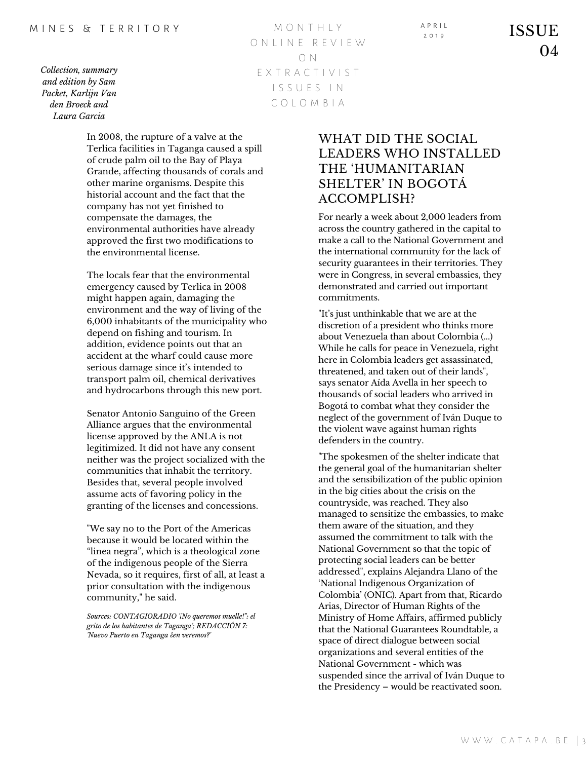M O N T H L Y O N L I N E R E V I E W O N E X T R A C T I V I S T I S S U E S I N C O L O M B I A

In 2008, the rupture of a valve at the Terlica facilities in Taganga caused a spill of crude palm oil to the Bay of Playa Grande, affecting thousands of corals and other marine organisms. Despite this historial account and the fact that the company has not yet finished to compensate the damages, the environmental authorities have already approved the first two modifications to the environmental license.

The locals fear that the environmental emergency caused by Terlica in 2008 might happen again, damaging the environment and the way of living of the 6,000 inhabitants of the municipality who depend on fishing and tourism. In addition, evidence points out that an accident at the wharf could cause more serious damage since it's intended to transport palm oil, chemical derivatives and hydrocarbons through this new port.

Senator Antonio Sanguino of the Green Alliance argues that the environmental license approved by the ANLA is not legitimized. It did not have any consent neither was the project socialized with the communities that inhabit the territory. Besides that, several people involved assume acts of favoring policy in the granting of the licenses and concessions.

"We say no to the Port of the Americas because it would be located within the "linea negra", which is a theological zone of the indigenous people of the Sierra Nevada, so it requires, first of all, at least a prior consultation with the indigenous community," he said.

*Sources: CONTAGIORADIO '¡No queremos muelle!": el grito de los habitantes de Taganga'; REDACCIÓN 7: 'Nuevo Puerto en Taganga ¿en veremos?'*

## WHAT DID THE SOCIAL LEADERS WHO INSTALLED THE 'HUMANITARIAN SHELTER' IN BOGOTÁ ACCOMPLISH?

A P R I L

For nearly a week about 2,000 leaders from across the country gathered in the capital to make a call to the National Government and the international community for the lack of security guarantees in their territories. They were in Congress, in several embassies, they demonstrated and carried out important commitments.

"It's just unthinkable that we are at the discretion of a president who thinks more about Venezuela than about Colombia (...) While he calls for peace in Venezuela, right here in Colombia leaders get assassinated, threatened, and taken out of their lands", says senator Aída Avella in her speech to thousands of social leaders who arrived in Bogotá to combat what they consider the neglect of the government of Iván Duque to the violent wave against human rights defenders in the country.

"The spokesmen of the shelter indicate that the general goal of the humanitarian shelter and the sensibilization of the public opinion in the big cities about the crisis on the countryside, was reached. They also managed to sensitize the embassies, to make them aware of the situation, and they assumed the commitment to talk with the National Government so that the topic of protecting social leaders can be better addressed", explains Alejandra Llano of the 'National Indigenous Organization of Colombia' (ONIC). Apart from that, Ricardo Arias, Director of Human Rights of the Ministry of Home Affairs, affirmed publicly that the National Guarantees Roundtable, a space of direct dialogue between social organizations and several entities of the National Government - which was suspended since the arrival of Iván Duque to the Presidency – would be reactivated soon.

 $\sum_{2.019}$  ISSUE  $04$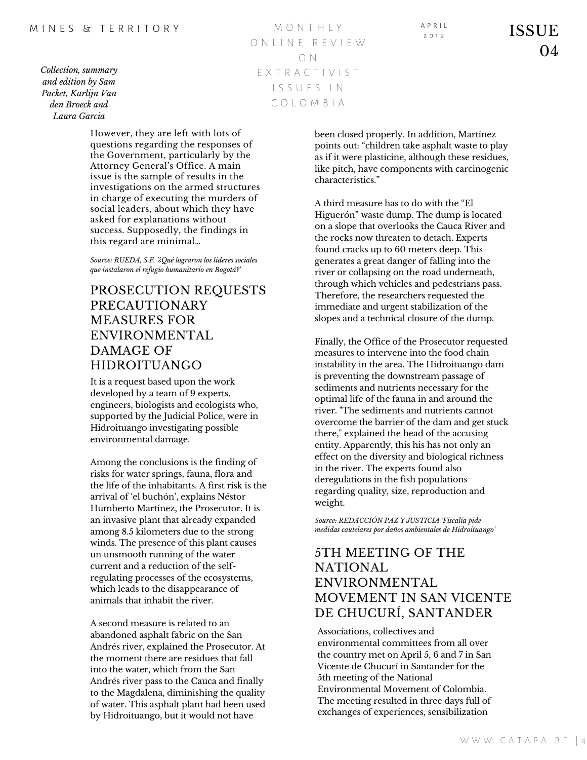> However, they are left with lots of questions regarding the responses of the Government, particularly by the Attorney General's Office. A main issue is the sample of results in the investigations on the armed structures in charge of executing the murders of social leaders, about which they have asked for explanations without success. Supposedly, the findings in this regard are minimal…

*Source: RUEDA, S.F. '¿Qué lograron los líderes sociales que instalaron el refugio humanitario en Bogotá?'*

## PROSECUTION REQUESTS PRECAUTIONARY MEASURES FOR ENVIRONMENTAL DAMAGE OF HIDROITUANGO

It is a request based upon the work developed by a team of 9 experts, engineers, biologists and ecologists who, supported by the Judicial Police, were in Hidroituango investigating possible environmental damage.

Among the conclusions is the finding of risks for water springs, fauna, flora and the life of the inhabitants. A first risk is the arrival of 'el buchón', explains Néstor Humberto Martínez, the Prosecutor. It is an invasive plant that already expanded among 8.5 kilometers due to the strong winds. The presence of this plant causes un unsmooth running of the water current and a reduction of the selfregulating processes of the ecosystems, which leads to the disappearance of animals that inhabit the river.

A second measure is related to an abandoned asphalt fabric on the San Andrés river, explained the Prosecutor. At the moment there are residues that fall into the water, which from the San Andrés river pass to the Cauca and finally to the Magdalena, diminishing the quality of water. This asphalt plant had been used by Hidroituango, but it would not have

M O N T H L Y O N L I N E R E V I E W O N E X T R A C T I V I S T I S S U E S I N C O L O M B I A

> been closed properly. In addition, Martínez points out: "children take asphalt waste to play as if it were plasticine, although these residues, like pitch, have components with carcinogenic characteristics."

A P R I L

A third measure has to do with the "El Higuerón" waste dump. The dump is located on a slope that overlooks the Cauca River and the rocks now threaten to detach. Experts found cracks up to 60 meters deep. This generates a great danger of falling into the river or collapsing on the road underneath, through which vehicles and pedestrians pass. Therefore, the researchers requested the immediate and urgent stabilization of the slopes and a technical closure of the dump.

Finally, the Office of the Prosecutor requested measures to intervene into the food chain instability in the area. The Hidroituango dam is preventing the downstream passage of sediments and nutrients necessary for the optimal life of the fauna in and around the river. "The sediments and nutrients cannot overcome the barrier of the dam and get stuck there," explained the head of the accusing entity. Apparently, this his has not only an effect on the diversity and biological richness in the river. The experts found also deregulations in the fish populations regarding quality, size, reproduction and weight.

*Source: REDACCIÓN PAZ Y JUSTICIA 'Fiscalía pide medidas cautelares por daños ambientales de Hidroituango'*

### 5TH MEETING OF THE NATIONAL ENVIRONMENTAL MOVEMENT IN SAN VICENTE DE CHUCURÍ, SANTANDER

Associations, collectives and environmental committees from all over the country met on April 5, 6 and 7 in San Vicente de Chucurí in Santander for the 5th meeting of the National Environmental Movement of Colombia. The meeting resulted in three days full of exchanges of experiences, sensibilization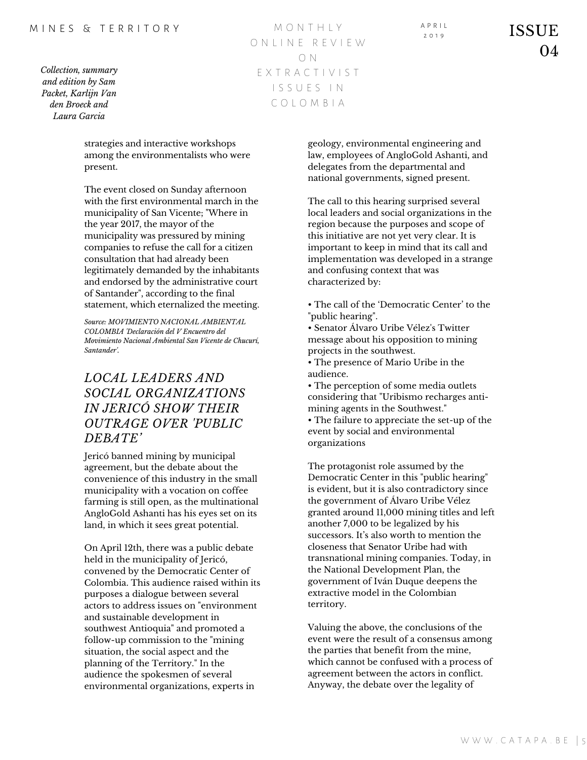*Collection, summary and edition by Sam Packet, Karlijn Van den Broeck and Laura Garcia*

M O N T H L Y O N L I N E R E V I E W O N E X T R A C T I V I S T I S S U E S I N C O L O M B I A

A P R I L

 $\sum_{2.019}$  ISSUE  $04$ 

strategies and interactive workshops among the environmentalists who were present.

The event closed on Sunday afternoon with the first environmental march in the municipality of San Vicente; "Where in the year 2017, the mayor of the municipality was pressured by mining companies to refuse the call for a citizen consultation that had already been legitimately demanded by the inhabitants and endorsed by the administrative court of Santander", according to the final statement, which eternalized the meeting.

*Source: MOVIMIENTO NACIONAL AMBIENTAL COLOMBIA 'Declaración del V Encuentro del Movimiento Nacional Ambiental San Vicente de Chucurí, Santander'.*

## *LOCAL LEADERS AND SOCIAL ORGANIZATIONS IN JERICÓ SHOW THEIR OUTRAGE OVER 'PUBLIC DEBATE'*

Jericó banned mining by municipal agreement, but the debate about the convenience of this industry in the small municipality with a vocation on coffee farming is still open, as the multinational AngloGold Ashanti has his eyes set on its land, in which it sees great potential.

On April 12th, there was a public debate held in the municipality of Jericó, convened by the Democratic Center of Colombia. This audience raised within its purposes a dialogue between several actors to address issues on "environment and sustainable development in southwest Antioquia" and promoted a follow-up commission to the "mining situation, the social aspect and the planning of the Territory." In the audience the spokesmen of several environmental organizations, experts in

geology, environmental engineering and law, employees of AngloGold Ashanti, and delegates from the departmental and national governments, signed present.

The call to this hearing surprised several local leaders and social organizations in the region because the purposes and scope of this initiative are not yet very clear. It is important to keep in mind that its call and implementation was developed in a strange and confusing context that was characterized by:

• The call of the 'Democratic Center' to the "public hearing".

• Senator Álvaro Uribe Vélez's Twitter message about his opposition to mining projects in the southwest.

• The presence of Mario Uribe in the audience.

• The perception of some media outlets considering that "Uribismo recharges antimining agents in the Southwest."

• The failure to appreciate the set-up of the event by social and environmental organizations

The protagonist role assumed by the Democratic Center in this "public hearing" is evident, but it is also contradictory since the government of Álvaro Uribe Vélez granted around 11,000 mining titles and left another 7,000 to be legalized by his successors. It's also worth to mention the closeness that Senator Uribe had with transnational mining companies. Today, in the National Development Plan, the government of Iván Duque deepens the extractive model in the Colombian territory.

Valuing the above, the conclusions of the event were the result of a consensus among the parties that benefit from the mine, which cannot be confused with a process of agreement between the actors in conflict. Anyway, the debate over the legality of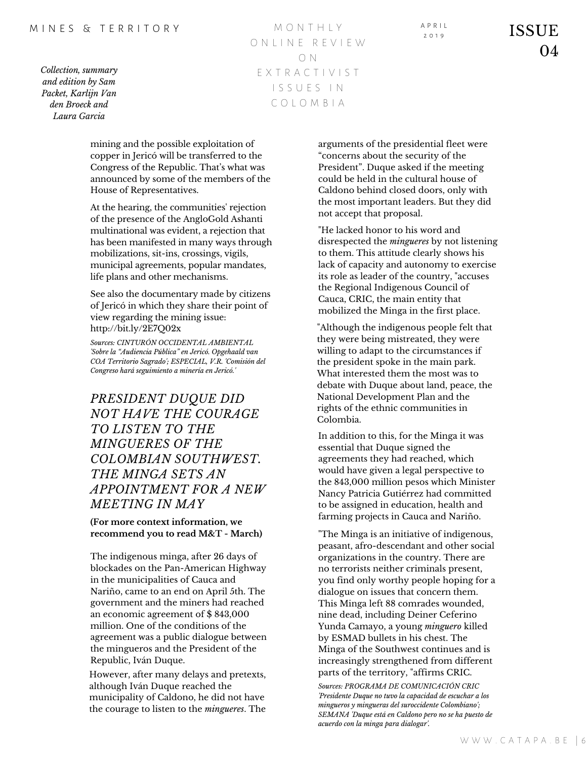*Collection, summary and edition by Sam Packet, Karlijn Van den Broeck and Laura Garcia*

M O N T H L Y O N L I N E R E V I E W O N E X T R A C T I V I S T I S S U E S I N C O L O M B I A

mining and the possible exploitation of copper in Jericó will be transferred to the Congress of the Republic. That's what was announced by some of the members of the House of Representatives.

At the hearing, the communities' rejection of the presence of the AngloGold Ashanti multinational was evident, a rejection that has been manifested in many ways through mobilizations, sit-ins, crossings, vigils, municipal agreements, popular mandates, life plans and other mechanisms.

See also the documentary made by citizens of Jericó in which they share their point of view regarding the mining issue: http://bit.ly/2E7Q02x

*Sources: CINTURÓN OCCIDENTAL AMBIENTAL 'Sobre la "Audiencia Pública" en Jericó. Opgehaald van COA Territorio Sagrado'; ESPECIAL, V.R. 'Comisión del Congreso hará seguimiento a minería en Jericó.'*

*PRESIDENT DUQUE DID NOT HAVE THE COURAGE TO LISTEN TO THE MINGUERES OF THE COLOMBIAN SOUTHWEST. THE MINGA SETS AN APPOINTMENT FOR A NEW MEETING IN MAY*

**(For more context information, we recommend you to read M&T - March)**

The indigenous minga, after 26 days of blockades on the Pan-American Highway in the municipalities of Cauca and Nariño, came to an end on April 5th. The government and the miners had reached an economic agreement of \$ 843,000 million. One of the conditions of the agreement was a public dialogue between the mingueros and the President of the Republic, Iván Duque.

However, after many delays and pretexts, although Iván Duque reached the municipality of Caldono, he did not have the courage to listen to the *mingueres*. The

arguments of the presidential fleet were "concerns about the security of the President". Duque asked if the meeting could be held in the cultural house of Caldono behind closed doors, only with the most important leaders. But they did not accept that proposal.

"He lacked honor to his word and disrespected the *mingueres* by not listening to them. This attitude clearly shows his lack of capacity and autonomy to exercise its role as leader of the country, "accuses the Regional Indigenous Council of Cauca, CRIC, the main entity that mobilized the Minga in the first place.

"Although the indigenous people felt that they were being mistreated, they were willing to adapt to the circumstances if the president spoke in the main park. What interested them the most was to debate with Duque about land, peace, the National Development Plan and the rights of the ethnic communities in Colombia.

In addition to this, for the Minga it was essential that Duque signed the agreements they had reached, which would have given a legal perspective to the 843,000 million pesos which Minister Nancy Patricia Gutiérrez had committed to be assigned in education, health and farming projects in Cauca and Nariño.

"The Minga is an initiative of indigenous, peasant, afro-descendant and other social organizations in the country. There are no terrorists neither criminals present, you find only worthy people hoping for a dialogue on issues that concern them. This Minga left 88 comrades wounded, nine dead, including Deiner Ceferino Yunda Camayo, a young *minguero* killed by ESMAD bullets in his chest. The Minga of the Southwest continues and is increasingly strengthened from different parts of the territory, "affirms CRIC.

*Sources: PROGRAMA DE COMUNICACIÓN CRIC 'Presidente Duque no tuvo la capacidad de escuchar a los mingueros y mingueras del suroccidente Colombiano'; SEMANA 'Duque está en Caldono pero no se ha puesto de acuerdo con la minga para dialogar'.*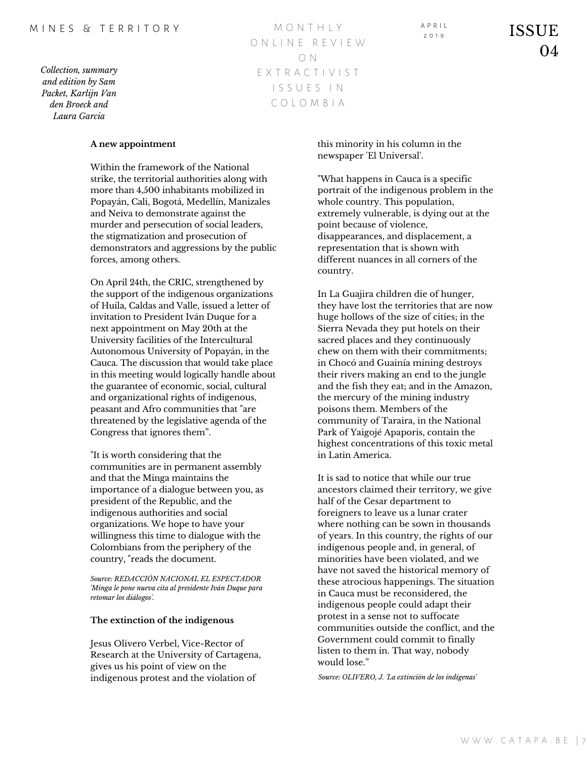M O N T H L Y O N L I N E R E V I E W O N E X T R A C T I V I S T I S S U E S I N C O L O M B I A

A P R I L

 $\sum_{2.019}$  ISSUE  $04$ 

#### **A new appointment**

Within the framework of the National strike, the territorial authorities along with more than 4,500 inhabitants mobilized in Popayán, Cali, Bogotá, Medellín, Manizales and Neiva to demonstrate against the murder and persecution of social leaders, the stigmatization and prosecution of demonstrators and aggressions by the public forces, among others.

On April 24th, the CRIC, strengthened by the support of the indigenous organizations of Huila, Caldas and Valle, issued a letter of invitation to President Iván Duque for a next appointment on May 20th at the University facilities of the Intercultural Autonomous University of Popayán, in the Cauca. The discussion that would take place in this meeting would logically handle about the guarantee of economic, social, cultural and organizational rights of indigenous, peasant and Afro communities that "are threatened by the legislative agenda of the Congress that ignores them".

"It is worth considering that the communities are in permanent assembly and that the Minga maintains the importance of a dialogue between you, as president of the Republic, and the indigenous authorities and social organizations. We hope to have your willingness this time to dialogue with the Colombians from the periphery of the country, "reads the document.

*Source: REDACCIÓN NACIONAL EL ESPECTADOR 'Minga le pone nueva cita al presidente Iván Duque para retomar los diálogos'.*

### **The extinction of the indigenous**

Jesus Olivero Verbel, Vice-Rector of Research at the University of Cartagena, gives us his point of view on the indigenous protest and the violation of

this minority in his column in the newspaper 'El Universal'.

"What happens in Cauca is a specific portrait of the indigenous problem in the whole country. This population, extremely vulnerable, is dying out at the point because of violence, disappearances, and displacement, a representation that is shown with different nuances in all corners of the country.

In La Guajira children die of hunger, they have lost the territories that are now huge hollows of the size of cities; in the Sierra Nevada they put hotels on their sacred places and they continuously chew on them with their commitments; in Chocó and Guainía mining destroys their rivers making an end to the jungle and the fish they eat; and in the Amazon, the mercury of the mining industry poisons them. Members of the community of Taraira, in the National Park of Yaigojé Apaporis, contain the highest concentrations of this toxic metal in Latin America.

It is sad to notice that while our true ancestors claimed their territory, we give half of the Cesar department to foreigners to leave us a lunar crater where nothing can be sown in thousands of years. In this country, the rights of our indigenous people and, in general, of minorities have been violated, and we have not saved the historical memory of these atrocious happenings. The situation in Cauca must be reconsidered, the indigenous people could adapt their protest in a sense not to suffocate communities outside the conflict, and the Government could commit to finally listen to them in. That way, nobody would lose."

*Source: OLIVERO, J. 'La extinción de los indígenas'*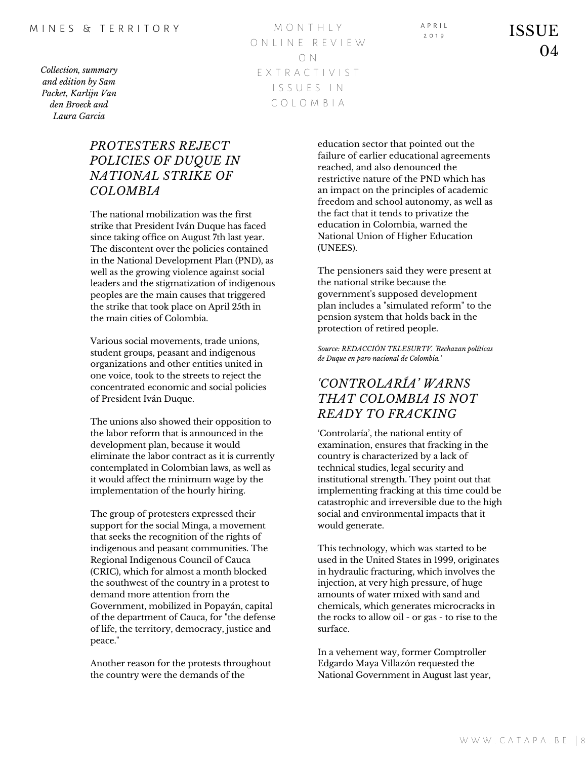M O N T H L Y O N L I N E R E V I E W O N E X T R A C T I V I S T I S S U E S I N C O L O M B I A

## *PROTESTERS REJECT POLICIES OF DUQUE IN NATIONAL STRIKE OF COLOMBIA*

The national mobilization was the first strike that President Iván Duque has faced since taking office on August 7th last year. The discontent over the policies contained in the National Development Plan (PND), as well as the growing violence against social leaders and the stigmatization of indigenous peoples are the main causes that triggered the strike that took place on April 25th in the main cities of Colombia.

Various social movements, trade unions, student groups, peasant and indigenous organizations and other entities united in one voice, took to the streets to reject the concentrated economic and social policies of President Iván Duque.

The unions also showed their opposition to the labor reform that is announced in the development plan, because it would eliminate the labor contract as it is currently contemplated in Colombian laws, as well as it would affect the minimum wage by the implementation of the hourly hiring.

The group of protesters expressed their support for the social Minga, a movement that seeks the recognition of the rights of indigenous and peasant communities. The Regional Indigenous Council of Cauca (CRIC), which for almost a month blocked the southwest of the country in a protest to demand more attention from the Government, mobilized in Popayán, capital of the department of Cauca, for "the defense of life, the territory, democracy, justice and peace."

Another reason for the protests throughout the country were the demands of the

education sector that pointed out the failure of earlier educational agreements reached, and also denounced the restrictive nature of the PND which has an impact on the principles of academic freedom and school autonomy, as well as the fact that it tends to privatize the education in Colombia, warned the National Union of Higher Education (UNEES).

A P R I L

The pensioners said they were present at the national strike because the government's supposed development plan includes a "simulated reform" to the pension system that holds back in the protection of retired people.

*Source: REDACCIÓN TELESURTV. 'Rechazan políticas de Duque en paro nacional de Colombia.'*

# *'CONTROLARÍA' WARNS THAT COLOMBIA IS NOT READY TO FRACKING*

'Controlaría', the national entity of examination, ensures that fracking in the country is characterized by a lack of technical studies, legal security and institutional strength. They point out that implementing fracking at this time could be catastrophic and irreversible due to the high social and environmental impacts that it would generate.

This technology, which was started to be used in the United States in 1999, originates in hydraulic fracturing, which involves the injection, at very high pressure, of huge amounts of water mixed with sand and chemicals, which generates microcracks in the rocks to allow oil - or gas - to rise to the surface.

In a vehement way, former Comptroller Edgardo Maya Villazón requested the National Government in August last year,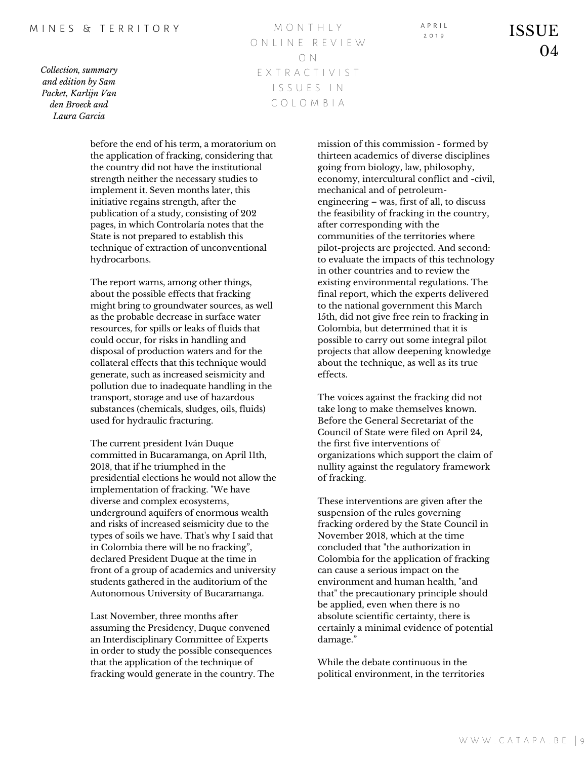*Collection, summary and edition by Sam Packet, Karlijn Van den Broeck and Laura Garcia*

M O N T H L Y O N L I N E R E V I E W O N E X T R A C T I V I S T I S S U E S I N C O L O M B I A

before the end of his term, a moratorium on the application of fracking, considering that the country did not have the institutional strength neither the necessary studies to implement it. Seven months later, this initiative regains strength, after the publication of a study, consisting of 202 pages, in which Controlaría notes that the State is not prepared to establish this technique of extraction of unconventional hydrocarbons.

The report warns, among other things, about the possible effects that fracking might bring to groundwater sources, as well as the probable decrease in surface water resources, for spills or leaks of fluids that could occur, for risks in handling and disposal of production waters and for the collateral effects that this technique would generate, such as increased seismicity and pollution due to inadequate handling in the transport, storage and use of hazardous substances (chemicals, sludges, oils, fluids) used for hydraulic fracturing.

The current president Iván Duque committed in Bucaramanga, on April 11th, 2018, that if he triumphed in the presidential elections he would not allow the implementation of fracking. "We have diverse and complex ecosystems, underground aquifers of enormous wealth and risks of increased seismicity due to the types of soils we have. That's why I said that in Colombia there will be no fracking", declared President Duque at the time in front of a group of academics and university students gathered in the auditorium of the Autonomous University of Bucaramanga.

Last November, three months after assuming the Presidency, Duque convened an Interdisciplinary Committee of Experts in order to study the possible consequences that the application of the technique of fracking would generate in the country. The mission of this commission - formed by thirteen academics of diverse disciplines going from biology, law, philosophy, economy, intercultural conflict and -civil, mechanical and of petroleumengineering – was, first of all, to discuss the feasibility of fracking in the country, after corresponding with the communities of the territories where pilot-projects are projected. And second: to evaluate the impacts of this technology in other countries and to review the existing environmental regulations. The final report, which the experts delivered to the national government this March 15th, did not give free rein to fracking in Colombia, but determined that it is possible to carry out some integral pilot projects that allow deepening knowledge about the technique, as well as its true effects.

A P R I L

The voices against the fracking did not take long to make themselves known. Before the General Secretariat of the Council of State were filed on April 24, the first five interventions of organizations which support the claim of nullity against the regulatory framework of fracking.

These interventions are given after the suspension of the rules governing fracking ordered by the State Council in November 2018, which at the time concluded that "the authorization in Colombia for the application of fracking can cause a serious impact on the environment and human health, "and that" the precautionary principle should be applied, even when there is no absolute scientific certainty, there is certainly a minimal evidence of potential damage."

While the debate continuous in the political environment, in the territories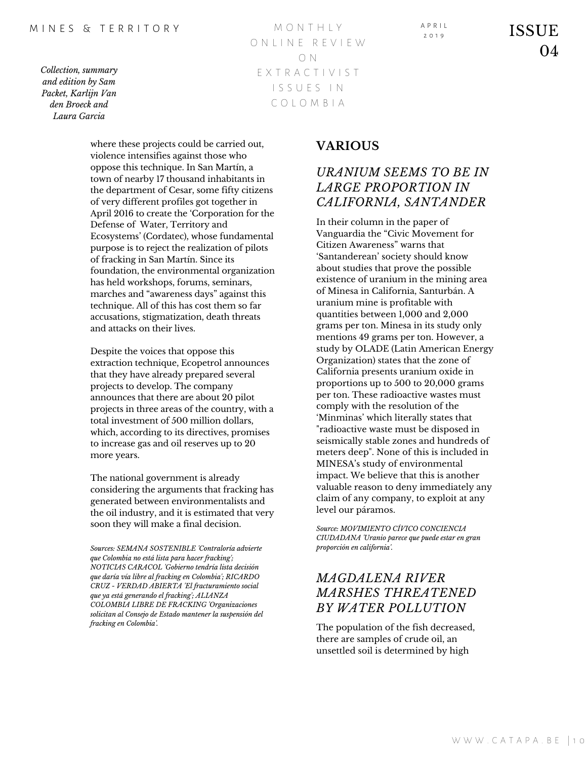*Collection, summary and edition by Sam Packet, Karlijn Van den Broeck and Laura Garcia*

M O N T H L Y O N L I N E R E V I E W O N E X T R A C T I V I S T I S S U E S I N C O L O M B I A

where these projects could be carried out, **VARIOUS**

### *URANIUM SEEMS TO BE IN LARGE PROPORTION IN CALIFORNIA, SANTANDER*

A P R I L

In their column in the paper of Vanguardia the "Civic Movement for Citizen Awareness" warns that 'Santanderean' society should know about studies that prove the possible existence of uranium in the mining area of Minesa in California, Santurbán. A uranium mine is profitable with quantities between 1,000 and 2,000 grams per ton. Minesa in its study only mentions 49 grams per ton. However, a study by OLADE (Latin American Energy Organization) states that the zone of California presents uranium oxide in proportions up to 500 to 20,000 grams per ton. These radioactive wastes must comply with the resolution of the 'Minminas' which literally states that "radioactive waste must be disposed in seismically stable zones and hundreds of meters deep". None of this is included in MINESA's study of environmental impact. We believe that this is another valuable reason to deny immediately any claim of any company, to exploit at any level our páramos.

*Source: MOVIMIENTO CÍVICO CONCIENCIA CIUDADANA 'Uranio parece que puede estar en gran proporción en california'.*

## *MAGDALENA RIVER MARSHES THREATENED BY WATER POLLUTION*

The population of the fish decreased, there are samples of crude oil, an unsettled soil is determined by high

 $\sum_{2.019}$  ISSUE  $04$ 

violence intensifies against those who oppose this technique. In San Martín, a town of nearby 17 thousand inhabitants in the department of Cesar, some fifty citizens of very different profiles got together in April 2016 to create the 'Corporation for the Defense of Water, Territory and Ecosystems' (Cordatec), whose fundamental purpose is to reject the realization of pilots of fracking in San Martín. Since its foundation, the environmental organization has held workshops, forums, seminars, marches and "awareness days" against this technique. All of this has cost them so far accusations, stigmatization, death threats and attacks on their lives.

Despite the voices that oppose this extraction technique, Ecopetrol announces that they have already prepared several projects to develop. The company announces that there are about 20 pilot projects in three areas of the country, with a total investment of 500 million dollars, which, according to its directives, promises to increase gas and oil reserves up to 20 more years.

The national government is already considering the arguments that fracking has generated between environmentalists and the oil industry, and it is estimated that very soon they will make a final decision.

*Sources: SEMANA SOSTENIBLE 'Contraloría advierte que Colombia no está lista para hacer fracking'; NOTICIAS CARACOL 'Gobierno tendría lista decisión que daría vía libre al fracking en Colombia'; RICARDO CRUZ - VERDAD ABIERTA 'El fracturamiento social que ya está generando el fracking'; ALIANZA COLOMBIA LIBRE DE FRACKING 'Organizaciones solicitan al Consejo de Estado mantener la suspensión del fracking en Colombia'.*